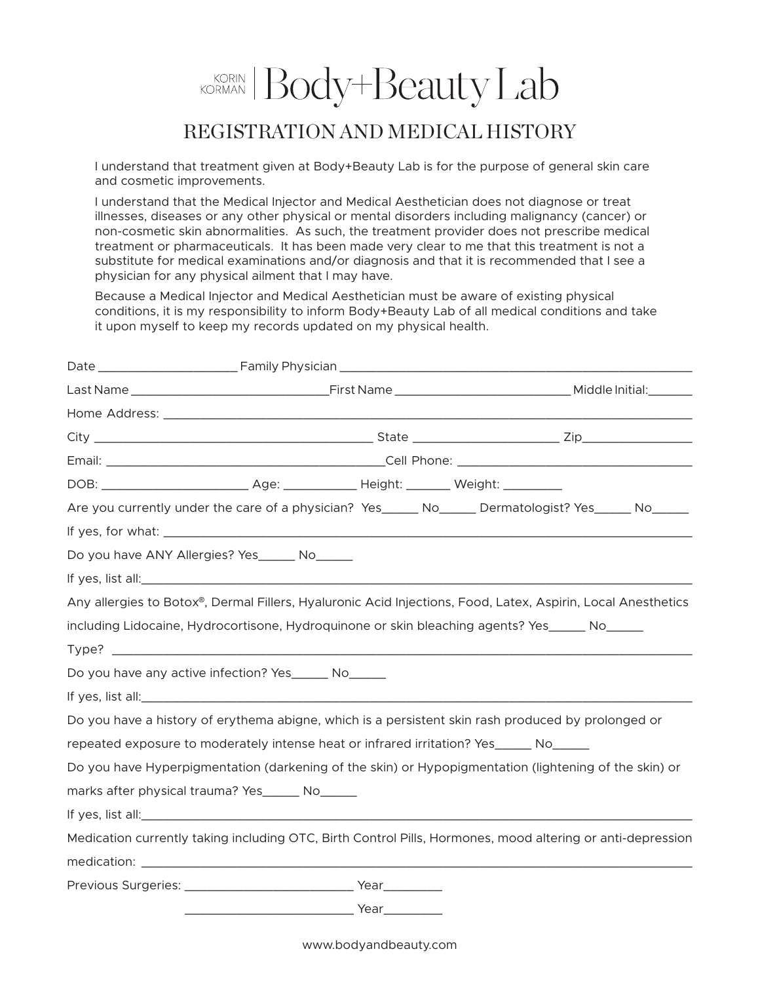## KORINAN Body+Beauty Lab

## REGISTRATION AND MEDICAL HISTORY

I understand that treatment given at Body+Beauty Lab is for the purpose of general skin care and cosmetic improvements.

I understand that the Medical Injector and Medical Aesthetician does not diagnose or treat illnesses, diseases or any other physical or mental disorders including malignancy (cancer) or non-cosmetic skin abnormalities. As such, the treatment provider does not prescribe medical treatment or pharmaceuticals. It has been made very clear to me that this treatment is not a substitute for medical examinations and/or diagnosis and that it is recommended that I see a physician for any physical ailment that I may have.

Because a Medical Injector and Medical Aesthetician must be aware of existing physical conditions, it is my responsibility to inform Body+Beauty Lab of all medical conditions and take it upon myself to keep my records updated on my physical health.

|                                                                                                    |  | Are you currently under the care of a physician? Yes______ No______ Dermatologist? Yes_____ No_____          |
|----------------------------------------------------------------------------------------------------|--|--------------------------------------------------------------------------------------------------------------|
|                                                                                                    |  |                                                                                                              |
| Do you have ANY Allergies? Yes______ No______                                                      |  |                                                                                                              |
|                                                                                                    |  |                                                                                                              |
|                                                                                                    |  | Any allergies to Botox®, Dermal Fillers, Hyaluronic Acid Injections, Food, Latex, Aspirin, Local Anesthetics |
| including Lidocaine, Hydrocortisone, Hydroquinone or skin bleaching agents? Yes_____ No_____       |  |                                                                                                              |
|                                                                                                    |  |                                                                                                              |
| Do you have any active infection? Yes _______ No______                                             |  |                                                                                                              |
|                                                                                                    |  |                                                                                                              |
| Do you have a history of erythema abigne, which is a persistent skin rash produced by prolonged or |  |                                                                                                              |
| repeated exposure to moderately intense heat or infrared irritation? Yes______ No______            |  |                                                                                                              |
|                                                                                                    |  | Do you have Hyperpigmentation (darkening of the skin) or Hypopigmentation (lightening of the skin) or        |
| marks after physical trauma? Yes______ No______                                                    |  |                                                                                                              |
|                                                                                                    |  |                                                                                                              |
|                                                                                                    |  | Medication currently taking including OTC, Birth Control Pills, Hormones, mood altering or anti-depression   |
|                                                                                                    |  |                                                                                                              |
|                                                                                                    |  |                                                                                                              |
|                                                                                                    |  |                                                                                                              |

www.bodyandbeauty.com